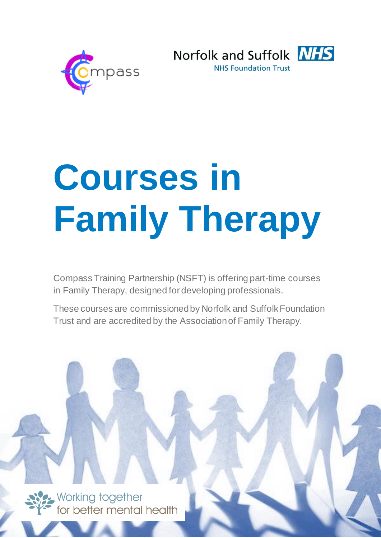



# **Courses in Family Therapy**

Compass Training Partnership (NSFT) is offering part-time courses in Family Therapy, designed for developing professionals.

These courses are commissioned by Norfolk and Suffolk Foundation Trust and are accredited by the Association of Family Therapy.

**Working together** for better mental health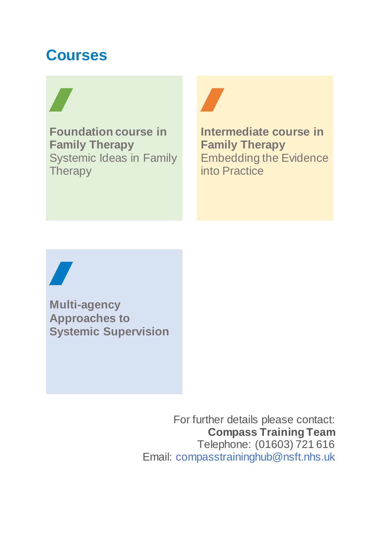## **Courses**

## $\sqrt{2}$

**Foundation course in Family Therapy**  Systemic Ideas in Family **Therapy** 



**Intermediate course in Family Therapy**  Embedding the Evidence into Practice



**Multi-agency Approaches to Systemic Supervision**

> For further details please contact: **Compass Training Team** Telephone: (01603) 721 616 Email: compasstraininghub@nsft.nhs.uk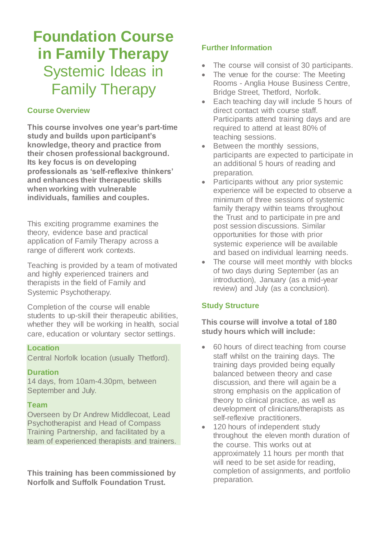## **Foundation Course in Family Therapy** Systemic Ideas in Family Therapy

#### **Course Overview**

**This course involves one year's part-time study and builds upon participant's knowledge, theory and practice from their chosen professional background. Its key focus is on developing professionals as 'self-reflexive thinkers' and enhances their therapeutic skills when working with vulnerable individuals, families and couples.** 

This exciting programme examines the theory, evidence base and practical application of Family Therapy across a range of different work contexts.

Teaching is provided by a team of motivated and highly experienced trainers and therapists in the field of Family and Systemic Psychotherapy.

Completion of the course will enable students to up-skill their therapeutic abilities, whether they will be working in health, social care, education or voluntary sector settings.

#### **Location**

Central Norfolk location (usually Thetford).

#### **Duration**

14 days, from 10am-4.30pm, between September and July.

#### **Team**

Overseen by Dr Andrew Middlecoat, Lead Psychotherapist and Head of Compass Training Partnership, and facilitated by a team of experienced therapists and trainers.

**This training has been commissioned by Norfolk and Suffolk Foundation Trust.**

#### **Further Information**

- The course will consist of 30 participants.
- The venue for the course: The Meeting Rooms - Anglia House Business Centre, Bridge Street, Thetford, Norfolk.
- Each teaching day will include 5 hours of direct contact with course staff. Participants attend training days and are required to attend at least 80% of teaching sessions.
- Between the monthly sessions, participants are expected to participate in an additional 5 hours of reading and preparation.
- Participants without any prior systemic experience will be expected to observe a minimum of three sessions of systemic family therapy within teams throughout the Trust and to participate in pre and post session discussions. Similar opportunities for those with prior systemic experience will be available and based on individual learning needs.
- The course will meet monthly with blocks of two days during September (as an introduction), January (as a mid-year review) and July (as a conclusion).

#### **Study Structure**

#### **This course will involve a total of 180 study hours which will include:**

- 60 hours of direct teaching from course staff whilst on the training days. The training days provided being equally balanced between theory and case discussion, and there will again be a strong emphasis on the application of theory to clinical practice, as well as development of clinicians/therapists as self-reflexive practitioners.
- 120 hours of independent study throughout the eleven month duration of the course. This works out at approximately 11 hours per month that will need to be set aside for reading, completion of assignments, and portfolio preparation.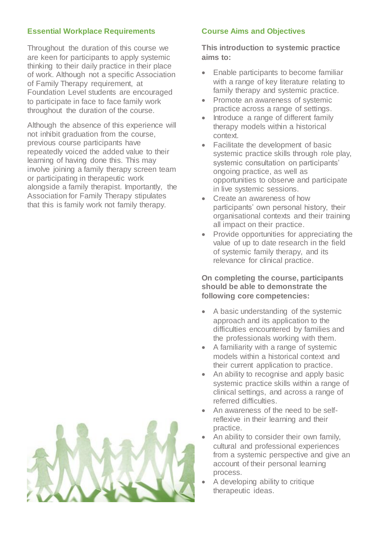#### **Essential Workplace Requirements**

Throughout the duration of this course we are keen for participants to apply systemic thinking to their daily practice in their place of work. Although not a specific Association of Family Therapy requirement, at Foundation Level students are encouraged to participate in face to face family work throughout the duration of the course.

Although the absence of this experience will not inhibit graduation from the course, previous course participants have repeatedly voiced the added value to their learning of having done this. This may involve joining a family therapy screen team or participating in therapeutic work alongside a family therapist. Importantly, the Association for Family Therapy stipulates that this is family work not family therapy.



#### **Course Aims and Objectives**

**This introduction to systemic practice aims to:** 

- Enable participants to become familiar with a range of key literature relating to family therapy and systemic practice.
- Promote an awareness of systemic practice across a range of settings.
- Introduce a range of different family therapy models within a historical context.
- Facilitate the development of basic systemic practice skills through role play, systemic consultation on participants' ongoing practice, as well as opportunities to observe and participate in live systemic sessions.
- Create an awareness of how participants' own personal history, their organisational contexts and their training all impact on their practice.
- Provide opportunities for appreciating the value of up to date research in the field of systemic family therapy, and its relevance for clinical practice.

**On completing the course, participants should be able to demonstrate the following core competencies:** 

- A basic understanding of the systemic approach and its application to the difficulties encountered by families and the professionals working with them.
- A familiarity with a range of systemic models within a historical context and their current application to practice.
- An ability to recognise and apply basic systemic practice skills within a range of clinical settings, and across a range of referred difficulties.
- An awareness of the need to be selfreflexive in their learning and their practice.
- An ability to consider their own family, cultural and professional experiences from a systemic perspective and give an account of their personal learning process.
- A developing ability to critique therapeutic ideas.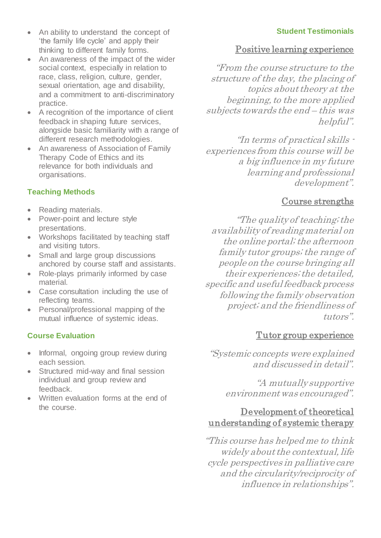#### **Student Testimonials**

- An ability to understand the concept of 'the family life cycle' and apply their thinking to different family forms.
- An awareness of the impact of the wider social context, especially in relation to race, class, religion, culture, gender, sexual orientation, age and disability, and a commitment to anti-discriminatory practice.
- A recognition of the importance of client feedback in shaping future services, alongside basic familiarity with a range of different research methodologies.
- An awareness of Association of Family Therapy Code of Ethics and its relevance for both individuals and organisations.

#### **Teaching Methods**

- Reading materials.
- Power-point and lecture style presentations.
- Workshops facilitated by teaching staff and visiting tutors.
- Small and large group discussions anchored by course staff and assistants.
- Role-plays primarily informed by case material.
- Case consultation including the use of reflecting teams.
- Personal/professional mapping of the mutual influence of systemic ideas.

#### **Course Evaluation**

- Informal, ongoing group review during each session.
- Structured mid-way and final session individual and group review and feedback.
- Written evaluation forms at the end of the course.

#### Positive learning experience

"From the course structure to the structure of the day, the placing of topics about theory at the beginning, to the more applied subjects towards the end – this was helpful".

"In terms of practical skills experiences from this course will be a big influence in my future learning and professional development".

#### Course strengths

"The quality of teaching; the availability of reading material on the online portal; the afternoon family tutor groups; the range of people on the course bringing all their experiences; the detailed, specific and useful feedback process following the family observation project; and the friendliness of tutors".

#### Tutor group experience

"Systemic concepts were explained and discussed in detail".

> "A mutually supportive environment was encouraged".

#### Development of theoretical understanding of systemic therapy

"This course has helped me to think widely about the contextual, life cycle perspectives in palliative care and the circularity/reciprocity of influence in relationships".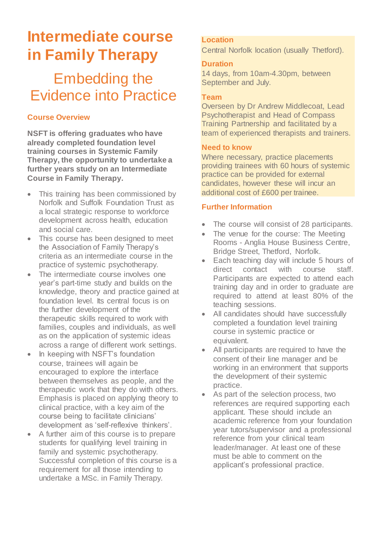## **Intermediate course in Family Therapy**

## Embedding the Evidence into Practice

#### **Course Overview**

**NSFT is offering graduates who have already completed foundation level training courses in Systemic Family Therapy, the opportunity to undertake a further years study on an Intermediate Course in Family Therapy.**

- This training has been commissioned by Norfolk and Suffolk Foundation Trust as a local strategic response to workforce development across health, education and social care.
- This course has been designed to meet the Association of Family Therapy's criteria as an intermediate course in the practice of systemic psychotherapy.
- The intermediate course involves one year's part-time study and builds on the knowledge, theory and practice gained at foundation level. Its central focus is on the further development of the therapeutic skills required to work with families, couples and individuals, as well as on the application of systemic ideas across a range of different work settings.
- In keeping with NSFT's foundation course, trainees will again be encouraged to explore the interface between themselves as people, and the therapeutic work that they do with others. Emphasis is placed on applying theory to clinical practice, with a key aim of the course being to facilitate clinicians' development as 'self-reflexive thinkers'.
- A further aim of this course is to prepare students for qualifying level training in family and systemic psychotherapy. Successful completion of this course is a requirement for all those intending to undertake a MSc. in Family Therapy.

#### **Location**

Central Norfolk location (usually Thetford).

#### **Duration**

14 days, from 10am-4.30pm, between September and July.

#### **Team**

Overseen by Dr Andrew Middlecoat, Lead Psychotherapist and Head of Compass Training Partnership and facilitated by a team of experienced therapists and trainers.

#### **Need to know**

Where necessary, practice placements providing trainees with 60 hours of systemic practice can be provided for external candidates, however these will incur an additional cost of £600 per trainee.

#### **Further Information**

- The course will consist of 28 participants.
- The venue for the course: The Meeting Rooms - Anglia House Business Centre, Bridge Street, Thetford, Norfolk.
- Each teaching day will include 5 hours of direct contact with course staff. Participants are expected to attend each training day and in order to graduate are required to attend at least 80% of the teaching sessions.
- All candidates should have successfully completed a foundation level training course in systemic practice or equivalent.
- All participants are required to have the consent of their line manager and be working in an environment that supports the development of their systemic practice.
- As part of the selection process, two references are required supporting each applicant. These should include an academic reference from your foundation year tutors/supervisor and a professional reference from your clinical team leader/manager. At least one of these must be able to comment on the applicant's professional practice.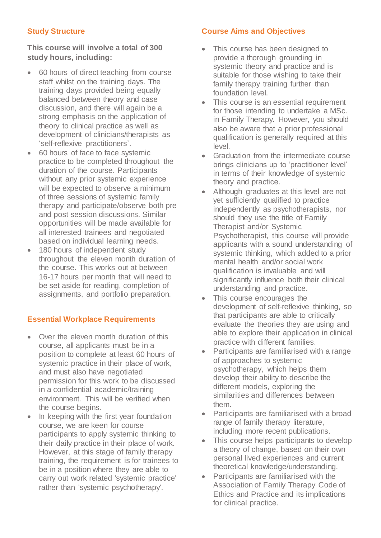#### **Study Structure**

**This course will involve a total of 300 study hours, including:**

- 60 hours of direct teaching from course staff whilst on the training days. The training days provided being equally balanced between theory and case discussion, and there will again be a strong emphasis on the application of theory to clinical practice as well as development of clinicians/therapists as 'self-reflexive practitioners'.
- 60 hours of face to face systemic practice to be completed throughout the duration of the course. Participants without any prior systemic experience will be expected to observe a minimum of three sessions of systemic family therapy and participate/observe both pre and post session discussions. Similar opportunities will be made available for all interested trainees and negotiated based on individual learning needs.
- 180 hours of independent study throughout the eleven month duration of the course. This works out at between 16-17 hours per month that will need to be set aside for reading, completion of assignments, and portfolio preparation.

#### **Essential Workplace Requirements**

- Over the eleven month duration of this course, all applicants must be in a position to complete at least 60 hours of systemic practice in their place of work, and must also have negotiated permission for this work to be discussed in a confidential academic/training environment. This will be verified when the course begins.
- In keeping with the first year foundation course, we are keen for course participants to apply systemic thinking to their daily practice in their place of work. However, at this stage of family therapy training, the requirement is for trainees to be in a position where they are able to carry out work related 'systemic practice' rather than 'systemic psychotherapy'.

#### **Course Aims and Objectives**

- This course has been designed to provide a thorough grounding in systemic theory and practice and is suitable for those wishing to take their family therapy training further than foundation level.
- This course is an essential requirement for those intending to undertake a MSc. in Family Therapy. However, you should also be aware that a prior professional qualification is generally required at this level.
- Graduation from the intermediate course brings clinicians up to 'practitioner level' in terms of their knowledge of systemic theory and practice.
- Although graduates at this level are not yet sufficiently qualified to practice independently as psychotherapists, nor should they use the title of Family Therapist and/or Systemic Psychotherapist, this course will provide applicants with a sound understanding of systemic thinking, which added to a prior mental health and/or social work qualification is invaluable and will significantly influence both their clinical understanding and practice.
- This course encourages the development of self-reflexive thinking, so that participants are able to critically evaluate the theories they are using and able to explore their application in clinical practice with different families.
- Participants are familiarised with a range of approaches to systemic psychotherapy, which helps them develop their ability to describe the different models, exploring the similarities and differences between them.
- Participants are familiarised with a broad range of family therapy literature, including more recent publications.
- This course helps participants to develop a theory of change, based on their own personal lived experiences and current theoretical knowledge/understanding.
- Participants are familiarised with the Association of Family Therapy Code of Ethics and Practice and its implications for clinical practice.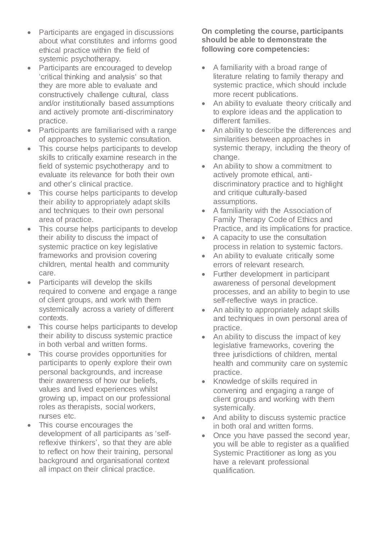- Participants are engaged in discussions about what constitutes and informs good ethical practice within the field of systemic psychotherapy.
- Participants are encouraged to develop 'critical thinking and analysis' so that they are more able to evaluate and constructively challenge cultural, class and/or institutionally based assumptions and actively promote anti-discriminatory practice.
- Participants are familiarised with a range of approaches to systemic consultation.
- This course helps participants to develop skills to critically examine research in the field of systemic psychotherapy and to evaluate its relevance for both their own and other's clinical practice.
- This course helps participants to develop their ability to appropriately adapt skills and techniques to their own personal area of practice.
- This course helps participants to develop their ability to discuss the impact of systemic practice on key legislative frameworks and provision covering children, mental health and community care.
- Participants will develop the skills required to convene and engage a range of client groups, and work with them systemically across a variety of different contexts.
- This course helps participants to develop their ability to discuss systemic practice in both verbal and written forms.
- This course provides opportunities for participants to openly explore their own personal backgrounds, and increase their awareness of how our beliefs, values and lived experiences whilst growing up, impact on our professional roles as therapists, social workers, nurses etc.
- This course encourages the development of all participants as 'selfreflexive thinkers', so that they are able to reflect on how their training, personal background and organisational context all impact on their clinical practice.

**On completing the course, participants should be able to demonstrate the following core competencies:** 

- A familiarity with a broad range of literature relating to family therapy and systemic practice, which should include more recent publications.
- An ability to evaluate theory critically and to explore ideas and the application to different families.
- An ability to describe the differences and similarities between approaches in systemic therapy, including the theory of change.
- An ability to show a commitment to actively promote ethical, antidiscriminatory practice and to highlight and critique culturally-based assumptions.
- A familiarity with the Association of Family Therapy Code of Ethics and Practice, and its implications for practice.
- A capacity to use the consultation process in relation to systemic factors.
- An ability to evaluate critically some errors of relevant research.
- Further development in participant awareness of personal development processes, and an ability to begin to use self-reflective ways in practice.
- An ability to appropriately adapt skills and techniques in own personal area of practice.
- An ability to discuss the impact of key legislative frameworks, covering the three jurisdictions of children, mental health and community care on systemic practice.
- Knowledge of skills required in convening and engaging a range of client groups and working with them systemically.
- And ability to discuss systemic practice in both oral and written forms.
- Once you have passed the second year, you will be able to register as a qualified Systemic Practitioner as long as you have a relevant professional qualification.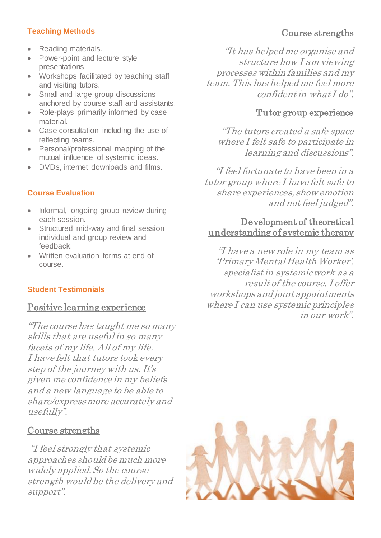#### **Teaching Methods**

- Reading materials.
- Power-point and lecture style presentations.
- Workshops facilitated by teaching staff and visiting tutors.
- Small and large group discussions anchored by course staff and assistants.
- Role-plays primarily informed by case material.
- Case consultation including the use of reflecting teams.
- Personal/professional mapping of the mutual influence of systemic ideas.
- DVDs, internet downloads and films.

#### **Course Evaluation**

- Informal, ongoing group review during each session.
- Structured mid-way and final session individual and group review and feedback.
- Written evaluation forms at end of course.

#### **Student Testimonials**

#### Positive learning experience

"The course has taught me so many skills that are useful in so many facets of my life. All of my life. I have felt that tutors took every step of the journey with us. It's given me confidence in my beliefs and a new language to be able to share/express more accurately and usefully".

#### Course strengths

"I feel strongly that systemic approaches should be much more widely applied. So the course strength would be the delivery and support".

#### Course strengths

"It has helped me organise and structure how I am viewing processes within families and my team. This has helped me feel more confident in what I do".

#### Tutor group experience

"The tutors created a safe space where I felt safe to participate in learning and discussions".

"I feel fortunate to have been in a tutor group where I have felt safe to share experiences, show emotion and not feel judged".

#### Development of theoretical understanding of systemic therapy

"I have a new role in my team as 'Primary Mental Health Worker', specialist in systemic work as a result of the course. I offer workshops and joint appointments where I can use systemic principles in our work".

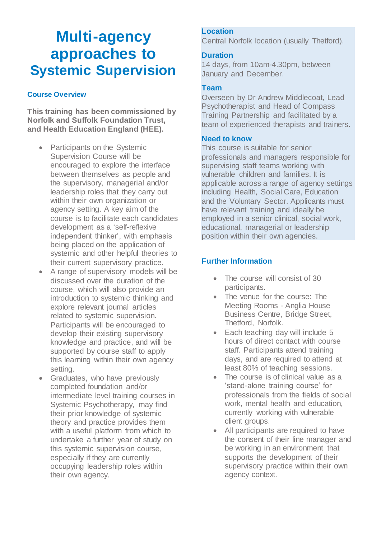## **Multi-agency approaches to Systemic Supervision**

#### **Course Overview**

**This training has been commissioned by Norfolk and Suffolk Foundation Trust, and Health Education England (HEE).**

- Participants on the Systemic Supervision Course will be encouraged to explore the interface between themselves as people and the supervisory, managerial and/or leadership roles that they carry out within their own organization or agency setting. A key aim of the course is to facilitate each candidates development as a 'self-reflexive independent thinker', with emphasis being placed on the application of systemic and other helpful theories to their current supervisory practice.
- A range of supervisory models will be discussed over the duration of the course, which will also provide an introduction to systemic thinking and explore relevant journal articles related to systemic supervision. Participants will be encouraged to develop their existing supervisory knowledge and practice, and will be supported by course staff to apply this learning within their own agency setting.
- Graduates, who have previously completed foundation and/or intermediate level training courses in Systemic Psychotherapy, may find their prior knowledge of systemic theory and practice provides them with a useful platform from which to undertake a further year of study on this systemic supervision course, especially if they are currently occupying leadership roles within their own agency.

#### **Location**

Central Norfolk location (usually Thetford).

#### **Duration**

14 days, from 10am-4.30pm, between January and December.

#### **Team**

Overseen by Dr Andrew Middlecoat, Lead Psychotherapist and Head of Compass Training Partnership and facilitated by a team of experienced therapists and trainers.

#### **Need to know**

This course is suitable for senior professionals and managers responsible for supervising staff teams working with vulnerable children and families. It is applicable across a range of agency settings including Health, Social Care, Education and the Voluntary Sector. Applicants must have relevant training and ideally be employed in a senior clinical, social work, educational, managerial or leadership position within their own agencies.

#### **Further Information**

- The course will consist of 30 participants.
- The venue for the course: The Meeting Rooms - Anglia House Business Centre, Bridge Street, Thetford, Norfolk.
- Each teaching day will include 5 hours of direct contact with course staff. Participants attend training days, and are required to attend at least 80% of teaching sessions.
- The course is of clinical value as a 'stand-alone training course' for professionals from the fields of social work, mental health and education, currently working with vulnerable client groups.
- All participants are required to have the consent of their line manager and be working in an environment that supports the development of their supervisory practice within their own agency context.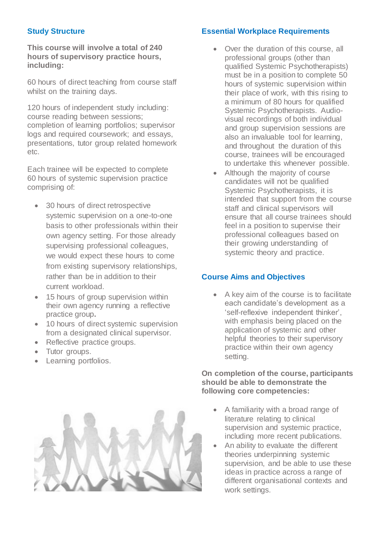#### **Study Structure**

**This course will involve a total of 240 hours of supervisory practice hours, including:**

60 hours of direct teaching from course staff whilst on the training days.

120 hours of independent study including: course reading between sessions; completion of learning portfolios; supervisor logs and required coursework; and essays, presentations, tutor group related homework etc.

Each trainee will be expected to complete 60 hours of systemic supervision practice comprising of:

- 30 hours of direct retrospective systemic supervision on a one-to-one basis to other professionals within their own agency setting. For those already supervising professional colleagues, we would expect these hours to come from existing supervisory relationships, rather than be in addition to their current workload.
- 15 hours of group supervision within their own agency running a reflective practice group**.**
- 10 hours of direct systemic supervision from a designated clinical supervisor.
- Reflective practice groups.
- Tutor groups.
- Learning portfolios.



#### **Essential Workplace Requirements**

- Over the duration of this course, all professional groups (other than qualified Systemic Psychotherapists) must be in a position to complete 50 hours of systemic supervision within their place of work, with this rising to a minimum of 80 hours for qualified Systemic Psychotherapists. Audiovisual recordings of both individual and group supervision sessions are also an invaluable tool for learning, and throughout the duration of this course, trainees will be encouraged to undertake this whenever possible.
- Although the majority of course candidates will not be qualified Systemic Psychotherapists, it is intended that support from the course staff and clinical supervisors will ensure that all course trainees should feel in a position to supervise their professional colleagues based on their growing understanding of systemic theory and practice.

#### **Course Aims and Objectives**

 A key aim of the course is to facilitate each candidate's development as a 'self-reflexive independent thinker', with emphasis being placed on the application of systemic and other helpful theories to their supervisory practice within their own agency setting.

**On completion of the course, participants should be able to demonstrate the following core competencies:**

- A familiarity with a broad range of literature relating to clinical supervision and systemic practice, including more recent publications.
- An ability to evaluate the different theories underpinning systemic supervision, and be able to use these ideas in practice across a range of different organisational contexts and work settings.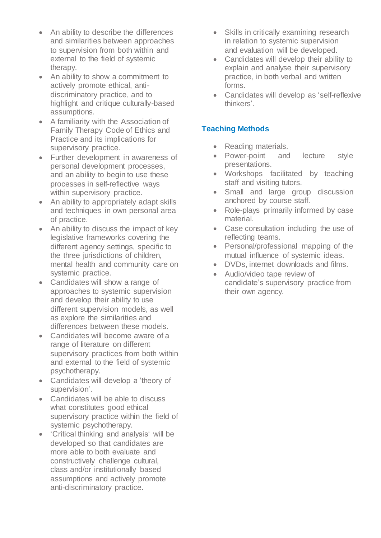- An ability to describe the differences and similarities between approaches to supervision from both within and external to the field of systemic therapy.
- An ability to show a commitment to actively promote ethical, antidiscriminatory practice, and to highlight and critique culturally-based assumptions.
- A familiarity with the Association of Family Therapy Code of Ethics and Practice and its implications for supervisory practice.
- Further development in awareness of personal development processes, and an ability to begin to use these processes in self-reflective ways within supervisory practice.
- An ability to appropriately adapt skills and techniques in own personal area of practice.
- An ability to discuss the impact of key legislative frameworks covering the different agency settings, specific to the three jurisdictions of children, mental health and community care on systemic practice.
- Candidates will show a range of approaches to systemic supervision and develop their ability to use different supervision models, as well as explore the similarities and differences between these models.
- Candidates will become aware of a range of literature on different supervisory practices from both within and external to the field of systemic psychotherapy.
- Candidates will develop a 'theory of supervision'.
- Candidates will be able to discuss what constitutes good ethical supervisory practice within the field of systemic psychotherapy.
- 'Critical thinking and analysis' will be developed so that candidates are more able to both evaluate and constructively challenge cultural, class and/or institutionally based assumptions and actively promote anti-discriminatory practice.
- Skills in critically examining research in relation to systemic supervision and evaluation will be developed.
- Candidates will develop their ability to explain and analyse their supervisory practice, in both verbal and written forms.
- Candidates will develop as 'self-reflexive thinkers'.

#### **Teaching Methods**

- Reading materials.
- Power-point and lecture style presentations.
- Workshops facilitated by teaching staff and visiting tutors.
- Small and large group discussion anchored by course staff.
- Role-plays primarily informed by case material.
- Case consultation including the use of reflecting teams.
- Personal/professional mapping of the mutual influence of systemic ideas.
- DVDs, internet downloads and films.
- Audio/video tape review of candidate's supervisory practice from their own agency.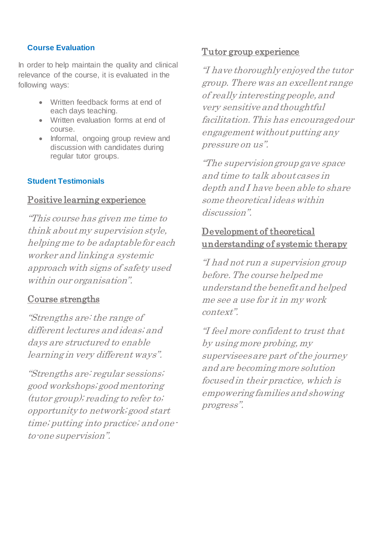#### **Course Evaluation**

In order to help maintain the quality and clinical relevance of the course, it is evaluated in the following ways:

- Written feedback forms at end of each days teaching.
- Written evaluation forms at end of course.
- Informal, ongoing group review and discussion with candidates during regular tutor groups.

#### **Student Testimonials**

#### Positive learning experience

"This course has given me time to think about my supervision style, helping me to be adaptable for each worker and linking a systemic approach with signs of safety used within our organisation".

#### Course strengths

"Strength<sup>s</sup> are: the range of different lectures and ideas; and days are structured to enable learning in very different ways".

"Strengths are: regular sessions; good workshops; good mentoring (tutor group); reading to refer to; opportunity to network; good start time; putting into practice; and oneto-one supervision".

#### Tutor group experience

"I have thoroughly enjoyed the tutor group. There was an excellent range of really interesting people, and very sensitive and thoughtful facilitation. This has encouraged our engagement without putting any pressure on us".

"The supervision group gave space and time to talk about cases in depth and I have been able to share some theoretical ideas within discussion".

#### Development of theoretical understanding of systemic therapy

"I had not run a supervision group before. The course helped me understand the benefit and helped me see a use for it in my work context".

"I feel more confident to trust that by using more probing, my supervisees are part of the journey and are becoming more solution focused in their practice, which is empowering families and showing progress".